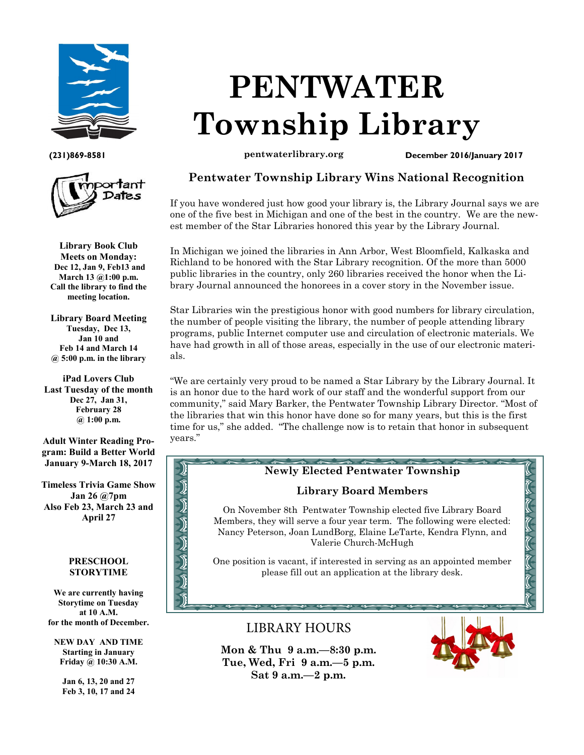



**Library Book Club Meets on Monday: Dec 12, Jan 9, Feb13 and March 13 @1:00 p.m. Call the library to find the meeting location.**

**Library Board Meeting Tuesday, Dec 13, Jan 10 and Feb 14 and March 14 @ 5:00 p.m. in the library**

**iPad Lovers Club Last Tuesday of the month Dec 27, Jan 31, February 28 @ 1:00 p.m.**

**Adult Winter Reading Program: Build a Better World January 9-March 18, 2017**

**Timeless Trivia Game Show Jan 26 @7pm Also Feb 23, March 23 and April 27**

#### **PRESCHOOL STORYTIME**

とりりります

**We are currently having Storytime on Tuesday at 10 A.M. for the month of December.** 

**NEW DAY AND TIME Starting in January Friday @ 10:30 A.M.**

> **Jan 6, 13, 20 and 27 Feb 3, 10, 17 and 24**

# **PENTWATER Township Library**

**(231)869-8581 pentwaterlibrary.org December 2016/January 2017**

# **Pentwater Township Library Wins National Recognition**

If you have wondered just how good your library is, the Library Journal says we are one of the five best in Michigan and one of the best in the country. We are the newest member of the Star Libraries honored this year by the Library Journal.

In Michigan we joined the libraries in Ann Arbor, West Bloomfield, Kalkaska and Richland to be honored with the Star Library recognition. Of the more than 5000 public libraries in the country, only 260 libraries received the honor when the Library Journal announced the honorees in a cover story in the November issue.

Star Libraries win the prestigious honor with good numbers for library circulation, the number of people visiting the library, the number of people attending library programs, public Internet computer use and circulation of electronic materials. We have had growth in all of those areas, especially in the use of our electronic materials.

"We are certainly very proud to be named a Star Library by the Library Journal. It is an honor due to the hard work of our staff and the wonderful support from our community," said Mary Barker, the Pentwater Township Library Director. "Most of the libraries that win this honor have done so for many years, but this is the first time for us," she added. "The challenge now is to retain that honor in subsequent years."

#### the state of the contract of the contract of the contract of **Newly Elected Pentwater Township**

## **Library Board Members**

On November 8th Pentwater Township elected five Library Board Members, they will serve a four year term. The following were elected: Nancy Peterson, Joan LundBorg, Elaine LeTarte, Kendra Flynn, and Valerie Church-McHugh

One position is vacant, if interested in serving as an appointed member please fill out an application at the library desk.

# **LIBRARY HOURS**

**Mon & Thu 9 a.m.—8:30 p.m. Tue, Wed, Fri 9 a.m.—5 p.m. Sat 9 a.m.—2 p.m.** 



てんてんてんてんてん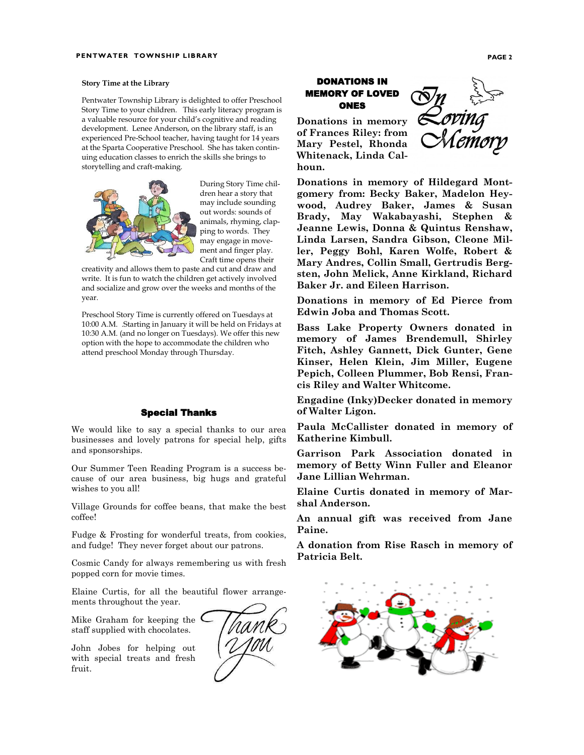#### **Story Time at the Library**

Pentwater Township Library is delighted to offer Preschool Story Time to your children. This early literacy program is a valuable resource for your child's cognitive and reading development. Lenee Anderson, on the library staff, is an experienced Pre-School teacher, having taught for 14 years at the Sparta Cooperative Preschool. She has taken continuing education classes to enrich the skills she brings to storytelling and craft-making.



During Story Time children hear a story that may include sounding out words: sounds of animals, rhyming, clapping to words. They may engage in movement and finger play. Craft time opens their

creativity and allows them to paste and cut and draw and write. It is fun to watch the children get actively involved and socialize and grow over the weeks and months of the year.

Preschool Story Time is currently offered on Tuesdays at 10:00 A.M. .Starting in January it will be held on Fridays at 10:30 A.M. (and no longer on Tuesdays). We offer this new option with the hope to accommodate the children who attend preschool Monday through Thursday.

#### Special Thanks

We would like to say a special thanks to our area businesses and lovely patrons for special help, gifts and sponsorships.

Our Summer Teen Reading Program is a success because of our area business, big hugs and grateful wishes to you all!

Village Grounds for coffee beans, that make the best coffee!

Fudge & Frosting for wonderful treats, from cookies, and fudge! They never forget about our patrons.

Cosmic Candy for always remembering us with fresh popped corn for movie times.

Elaine Curtis, for all the beautiful flower arrangements throughout the year.

Mike Graham for keeping the  $\mathsf{\mathsf{C}}$ staff supplied with chocolates.

John Jobes for helping out with special treats and fresh fruit.



#### DONATIONS IN MEMORY OF LOVED ONES

**Donations in memory of Frances Riley: from Mary Pestel, Rhonda Whitenack, Linda Calhoun.**



**Donations in memory of Hildegard Montgomery from: Becky Baker, Madelon Heywood, Audrey Baker, James & Susan Brady, May Wakabayashi, Stephen & Jeanne Lewis, Donna & Quintus Renshaw, Linda Larsen, Sandra Gibson, Cleone Miller, Peggy Bohl, Karen Wolfe, Robert & Mary Andres, Collin Small, Gertrudis Bergsten, John Melick, Anne Kirkland, Richard Baker Jr. and Eileen Harrison.**

**Donations in memory of Ed Pierce from Edwin Joba and Thomas Scott.**

**Bass Lake Property Owners donated in memory of James Brendemull, Shirley Fitch, Ashley Gannett, Dick Gunter, Gene Kinser, Helen Klein, Jim Miller, Eugene Pepich, Colleen Plummer, Bob Rensi, Francis Riley and Walter Whitcome.**

**Engadine (Inky)Decker donated in memory of Walter Ligon.**

**Paula McCallister donated in memory of Katherine Kimbull.**

**Garrison Park Association donated in memory of Betty Winn Fuller and Eleanor Jane Lillian Wehrman.**

**Elaine Curtis donated in memory of Marshal Anderson.**

**An annual gift was received from Jane Paine.**

**A donation from Rise Rasch in memory of Patricia Belt.**

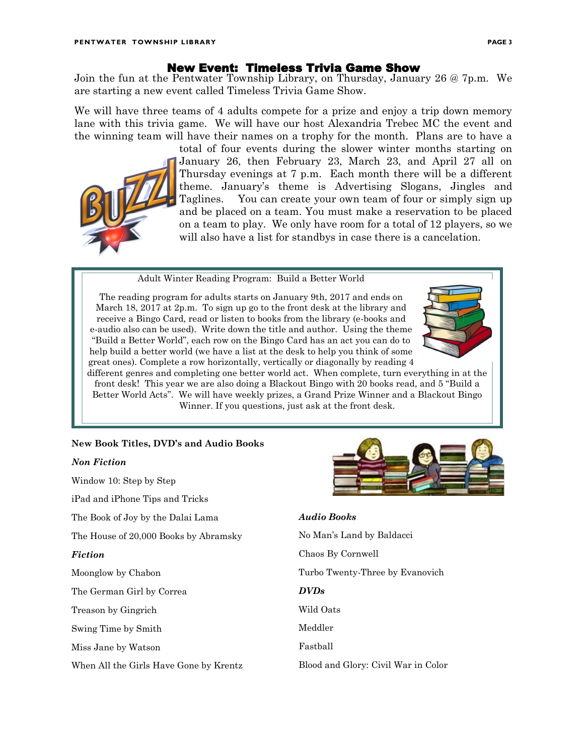#### New Event: Timeless Trivia Game Show

Join the fun at the Pentwater Township Library, on Thursday, January 26 @ 7p.m. We are starting a new event called Timeless Trivia Game Show.

We will have three teams of 4 adults compete for a prize and enjoy a trip down memory lane with this trivia game. We will have our host Alexandria Trebec MC the event and the winning team will have their names on a trophy for the month. Plans are to have a

total of four events during the slower winter months starting on January 26, then February 23, March 23, and April 27 all on Thursday evenings at 7 p.m. Each month there will be a different theme. January's theme is Advertising Slogans, Jingles and Taglines. You can create your own team of four or simply sign up and be placed on a team. You must make a reservation to be placed on a team to play. We only have room for a total of 12 players, so we will also have a list for standbys in case there is a cancelation.

Adult Winter Reading Program: Build a Better World

The reading program for adults starts on January 9th, 2017 and ends on March 18, 2017 at 2p.m. To sign up go to the front desk at the library and receive a Bingo Card, read or listen to books from the library (e-books and e-audio also can be used). Write down the title and author. Using the theme "Build a Better World", each row on the Bingo Card has an act you can do to help build a better world (we have a list at the desk to help you think of some great ones). Complete a row horizontally, vertically or diagonally by reading 4



different genres and completing one better world act. When complete, turn everything in at the front desk! This year we are also doing a Blackout Bingo with 20 books read, and 5 "Build a Better World Acts". We will have weekly prizes, a Grand Prize Winner and a Blackout Bingo Winner. If you questions, just ask at the front desk.

### **New Book Titles, DVD's and Audio Books**

#### *Non Fiction*

Window 10: Step by Step iPad and iPhone Tips and Tricks The Book of Joy by the Dalai Lama The House of 20,000 Books by Abramsky *Fiction* Moonglow by Chabon The German Girl by Correa Treason by Gingrich Swing Time by Smith

Miss Jane by Watson

When All the Girls Have Gone by Krentz



#### *Audio Books*

No Man's Land by Baldacci Chaos By Cornwell Turbo Twenty-Three by Evanovich *DVDs* Wild Oats Meddler Fastball Blood and Glory: Civil War in Color